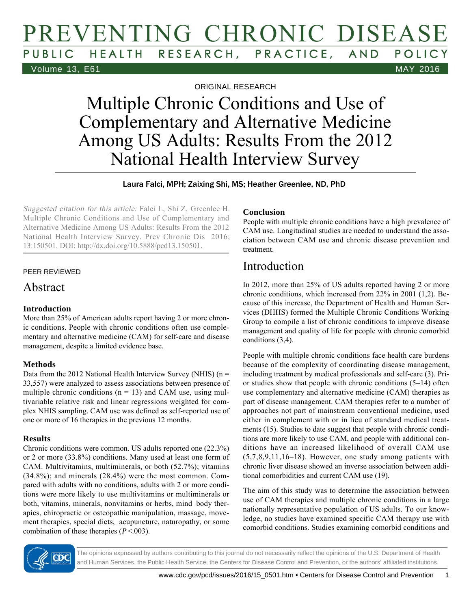# PREVENTING CHRONIC DISEASE HEALTH RESEARCH, PRACTICE, AND POLICY Volume 13, E61 MAY 2016

ORIGINAL RESEARCH

# Multiple Chronic Conditions and Use of Complementary and Alternative Medicine Among US Adults: Results From the 2012 National Health Interview Survey

Laura Falci, MPH; Zaixing Shi, MS; Heather Greenlee, ND, PhD

Suggested citation for this article: Falci L, Shi Z, Greenlee H. Multiple Chronic Conditions and Use of Complementary and Alternative Medicine Among US Adults: Results From the 2012 National Health Interview Survey. Prev Chronic Dis 2016; 13:150501. DOI: http://dx.doi.org/10.5888/pcd13.150501.

### PEER REVIEWED

### Abstract

### **Introduction**

More than 25% of American adults report having 2 or more chronic conditions. People with chronic conditions often use complementary and alternative medicine (CAM) for self-care and disease management, despite a limited evidence base.

### **Methods**

Data from the 2012 National Health Interview Survey (NHIS)  $(n =$ 33,557) were analyzed to assess associations between presence of multiple chronic conditions ( $n = 13$ ) and CAM use, using multivariable relative risk and linear regressions weighted for complex NHIS sampling. CAM use was defined as self-reported use of one or more of 16 therapies in the previous 12 months.

### **Results**

Chronic conditions were common. US adults reported one (22.3%) or 2 or more (33.8%) conditions. Many used at least one form of CAM. Multivitamins, multiminerals, or both (52.7%); vitamins (34.8%); and minerals (28.4%) were the most common. Compared with adults with no conditions, adults with 2 or more conditions were more likely to use multivitamins or multiminerals or both, vitamins, minerals, nonvitamins or herbs, mind–body therapies, chiropractic or osteopathic manipulation, massage, movement therapies, special diets, acupuncture, naturopathy, or some combination of these therapies  $(P < .003)$ .

### **Conclusion**

People with multiple chronic conditions have a high prevalence of CAM use. Longitudinal studies are needed to understand the association between CAM use and chronic disease prevention and treatment.

## Introduction

In 2012, more than 25% of US adults reported having 2 or more chronic conditions, which increased from 22% in 2001 (1,2). Because of this increase, the Department of Health and Human Services (DHHS) formed the Multiple Chronic Conditions Working Group to compile a list of chronic conditions to improve disease management and quality of life for people with chronic comorbid conditions (3,4).

People with multiple chronic conditions face health care burdens because of the complexity of coordinating disease management, including treatment by medical professionals and self-care (3). Prior studies show that people with chronic conditions (5–14) often use complementary and alternative medicine (CAM) therapies as part of disease management. CAM therapies refer to a number of approaches not part of mainstream conventional medicine, used either in complement with or in lieu of standard medical treatments (15). Studies to date suggest that people with chronic conditions are more likely to use CAM, and people with additional conditions have an increased likelihood of overall CAM use (5,7,8,9,11,16–18). However, one study among patients with chronic liver disease showed an inverse association between additional comorbidities and current CAM use (19).

The aim of this study was to determine the association between use of CAM therapies and multiple chronic conditions in a large nationally representative population of US adults. To our knowledge, no studies have examined specific CAM therapy use with comorbid conditions. Studies examining comorbid conditions and

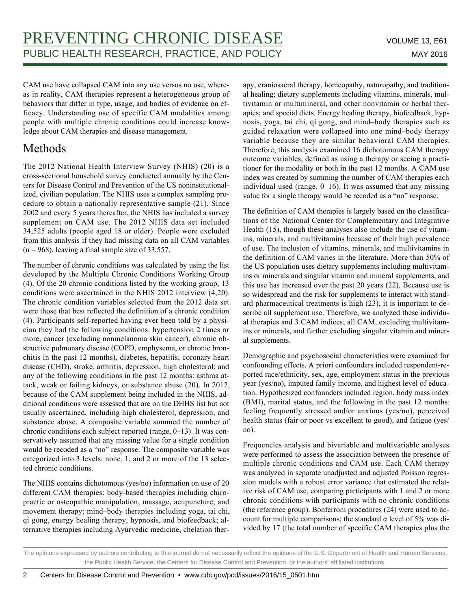CAM use have collapsed CAM into any use versus no use, whereas in reality, CAM therapies represent a heterogeneous group of behaviors that differ in type, usage, and bodies of evidence on efficacy. Understanding use of specific CAM modalities among people with multiple chronic conditions could increase knowledge about CAM therapies and disease management.

# Methods

The 2012 National Health Interview Survey (NHIS) (20) is a cross-sectional household survey conducted annually by the Centers for Disease Control and Prevention of the US noninstitutionalized, civilian population. The NHIS uses a complex sampling procedure to obtain a nationally representative sample (21). Since 2002 and every 5 years thereafter, the NHIS has included a survey supplement on CAM use. The 2012 NHIS data set included 34,525 adults (people aged 18 or older). People were excluded from this analysis if they had missing data on all CAM variables  $(n = 968)$ , leaving a final sample size of 33,557.

The number of chronic conditions was calculated by using the list developed by the Multiple Chronic Conditions Working Group (4). Of the 20 chronic conditions listed by the working group, 13 conditions were ascertained in the NHIS 2012 interview (4,20). The chronic condition variables selected from the 2012 data set were those that best reflected the definition of a chronic condition (4). Participants self-reported having ever been told by a physician they had the following conditions: hypertension 2 times or more, cancer (excluding nonmelanoma skin cancer), chronic obstructive pulmonary disease (COPD, emphysema, or chronic bronchitis in the past 12 months), diabetes, hepatitis, coronary heart disease (CHD), stroke, arthritis, depression, high cholesterol; and any of the following conditions in the past 12 months: asthma attack, weak or failing kidneys, or substance abuse (20). In 2012, because of the CAM supplement being included in the NHIS, additional conditions were assessed that are on the DHHS list but not usually ascertained, including high cholesterol, depression, and substance abuse. A composite variable summed the number of chronic conditions each subject reported (range, 0–13). It was conservatively assumed that any missing value for a single condition would be recoded as a "no" response. The composite variable was categorized into 3 levels: none, 1, and 2 or more of the 13 selected chronic conditions.

The NHIS contains dichotomous (yes/no) information on use of 20 different CAM therapies: body-based therapies including chiropractic or osteopathic manipulation, massage, acupuncture, and movement therapy; mind–body therapies including yoga, tai chi, qi gong, energy healing therapy, hypnosis, and biofeedback; alternative therapies including Ayurvedic medicine, chelation therapy, craniosacral therapy, homeopathy, naturopathy, and traditional healing; dietary supplements including vitamins, minerals, multivitamin or multimineral, and other nonvitamin or herbal therapies; and special diets. Energy healing therapy, biofeedback, hypnosis, yoga, tai chi, qi gong, and mind–body therapies such as guided relaxation were collapsed into one mind–body therapy variable because they are similar behavioral CAM therapies. Therefore, this analysis examined 16 dichotomous CAM therapy outcome variables, defined as using a therapy or seeing a practitioner for the modality or both in the past 12 months. A CAM use index was created by summing the number of CAM therapies each individual used (range, 0–16). It was assumed that any missing value for a single therapy would be recoded as a "no" response.

The definition of CAM therapies is largely based on the classifications of the National Center for Complementary and Integrative Health (15), though these analyses also include the use of vitamins, minerals, and multivitamins because of their high prevalence of use. The inclusion of vitamins, minerals, and multivitamins in the definition of CAM varies in the literature. More than 50% of the US population uses dietary supplements including multivitamins or minerals and singular vitamin and mineral supplements, and this use has increased over the past 20 years (22). Because use is so widespread and the risk for supplements to interact with standard pharmaceutical treatments is high (23), it is important to describe all supplement use. Therefore, we analyzed these individual therapies and 3 CAM indices; all CAM, excluding multivitamins or minerals, and further excluding singular vitamin and mineral supplements.

Demographic and psychosocial characteristics were examined for confounding effects. A priori confounders included respondent-reported race/ethnicity, sex, age, employment status in the previous year (yes/no), imputed family income, and highest level of education. Hypothesized confounders included region, body mass index (BMI), marital status, and the following in the past 12 months: feeling frequently stressed and/or anxious (yes/no), perceived health status (fair or poor vs excellent to good), and fatigue (yes/ no).

Frequencies analysis and bivariable and multivariable analyses were performed to assess the association between the presence of multiple chronic conditions and CAM use. Each CAM therapy was analyzed in separate unadjusted and adjusted Poisson regression models with a robust error variance that estimated the relative risk of CAM use, comparing participants with 1 and 2 or more chronic conditions with participants with no chronic conditions (the reference group). Bonferroni procedures (24) were used to account for multiple comparisons; the standard α level of 5% was divided by 17 (the total number of specific CAM therapies plus the

The opinions expressed by authors contributing to this journal do not necessarily reflect the opinions of the U.S. Department of Health and Human Services, the Public Health Service, the Centers for Disease Control and Prevention, or the authors' affiliated institutions.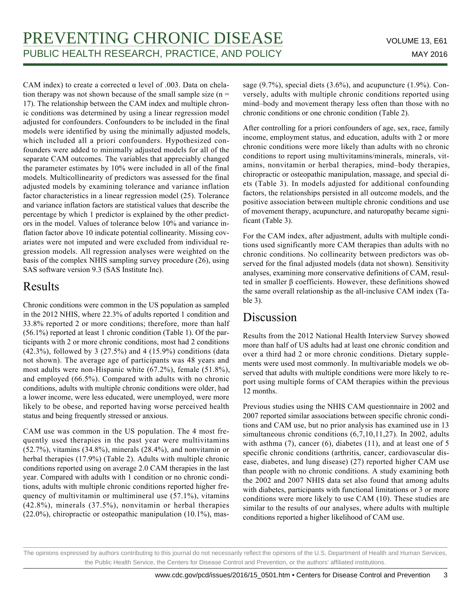CAM index) to create a corrected  $\alpha$  level of .003. Data on chelation therapy was not shown because of the small sample size  $(n =$ 17). The relationship between the CAM index and multiple chronic conditions was determined by using a linear regression model adjusted for confounders. Confounders to be included in the final models were identified by using the minimally adjusted models, which included all a priori confounders. Hypothesized confounders were added to minimally adjusted models for all of the separate CAM outcomes. The variables that appreciably changed the parameter estimates by 10% were included in all of the final models. Multicollinearity of predictors was assessed for the final adjusted models by examining tolerance and variance inflation factor characteristics in a linear regression model (25). Tolerance and variance inflation factors are statistical values that describe the percentage by which 1 predictor is explained by the other predictors in the model. Values of tolerance below 10% and variance inflation factor above 10 indicate potential collinearity. Missing covariates were not imputed and were excluded from individual regression models. All regression analyses were weighted on the basis of the complex NHIS sampling survey procedure (26), using SAS software version 9.3 (SAS Institute Inc).

# Results

Chronic conditions were common in the US population as sampled in the 2012 NHIS, where 22.3% of adults reported 1 condition and 33.8% reported 2 or more conditions; therefore, more than half (56.1%) reported at least 1 chronic condition (Table 1). Of the participants with 2 or more chronic conditions, most had 2 conditions (42.3%), followed by 3 (27.5%) and 4 (15.9%) conditions (data not shown). The average age of participants was 48 years and most adults were non-Hispanic white (67.2%), female (51.8%), and employed (66.5%). Compared with adults with no chronic conditions, adults with multiple chronic conditions were older, had a lower income, were less educated, were unemployed, were more likely to be obese, and reported having worse perceived health status and being frequently stressed or anxious.

CAM use was common in the US population. The 4 most frequently used therapies in the past year were multivitamins (52.7%), vitamins (34.8%), minerals (28.4%), and nonvitamin or herbal therapies (17.9%) (Table 2). Adults with multiple chronic conditions reported using on average 2.0 CAM therapies in the last year. Compared with adults with 1 condition or no chronic conditions, adults with multiple chronic conditions reported higher frequency of multivitamin or multimineral use (57.1%), vitamins (42.8%), minerals (37.5%), nonvitamin or herbal therapies (22.0%), chiropractic or osteopathic manipulation (10.1%), massage (9.7%), special diets (3.6%), and acupuncture (1.9%). Conversely, adults with multiple chronic conditions reported using mind–body and movement therapy less often than those with no chronic conditions or one chronic condition (Table 2).

After controlling for a priori confounders of age, sex, race, family income, employment status, and education, adults with 2 or more chronic conditions were more likely than adults with no chronic conditions to report using multivitamins/minerals, minerals, vitamins, nonvitamin or herbal therapies, mind–body therapies, chiropractic or osteopathic manipulation, massage, and special diets (Table 3). In models adjusted for additional confounding factors, the relationships persisted in all outcome models, and the positive association between multiple chronic conditions and use of movement therapy, acupuncture, and naturopathy became significant (Table 3).

For the CAM index, after adjustment, adults with multiple conditions used significantly more CAM therapies than adults with no chronic conditions. No collinearity between predictors was observed for the final adjusted models (data not shown). Sensitivity analyses, examining more conservative definitions of CAM, resulted in smaller β coefficients. However, these definitions showed the same overall relationship as the all-inclusive CAM index (Table 3).

## Discussion

Results from the 2012 National Health Interview Survey showed more than half of US adults had at least one chronic condition and over a third had 2 or more chronic conditions. Dietary supplements were used most commonly. In multivariable models we observed that adults with multiple conditions were more likely to report using multiple forms of CAM therapies within the previous 12 months.

Previous studies using the NHIS CAM questionnaire in 2002 and 2007 reported similar associations between specific chronic conditions and CAM use, but no prior analysis has examined use in 13 simultaneous chronic conditions (6,7,10,11,27). In 2002, adults with asthma  $(7)$ , cancer  $(6)$ , diabetes  $(11)$ , and at least one of 5 specific chronic conditions (arthritis, cancer, cardiovascular disease, diabetes, and lung disease) (27) reported higher CAM use than people with no chronic conditions. A study examining both the 2002 and 2007 NHIS data set also found that among adults with diabetes, participants with functional limitations or 3 or more conditions were more likely to use CAM (10). These studies are similar to the results of our analyses, where adults with multiple conditions reported a higher likelihood of CAM use.

The opinions expressed by authors contributing to this journal do not necessarily reflect the opinions of the U.S. Department of Health and Human Services, the Public Health Service, the Centers for Disease Control and Prevention, or the authors' affiliated institutions.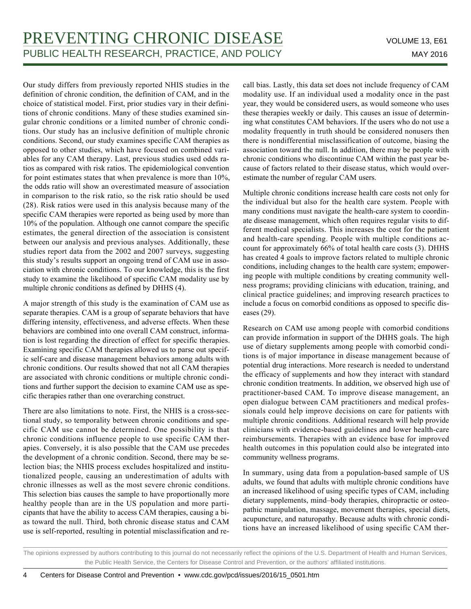Our study differs from previously reported NHIS studies in the definition of chronic condition, the definition of CAM, and in the choice of statistical model. First, prior studies vary in their definitions of chronic conditions. Many of these studies examined singular chronic conditions or a limited number of chronic conditions. Our study has an inclusive definition of multiple chronic conditions. Second, our study examines specific CAM therapies as opposed to other studies, which have focused on combined variables for any CAM therapy. Last, previous studies used odds ratios as compared with risk ratios. The epidemiological convention for point estimates states that when prevalence is more than 10%, the odds ratio will show an overestimated measure of association in comparison to the risk ratio, so the risk ratio should be used (28). Risk ratios were used in this analysis because many of the specific CAM therapies were reported as being used by more than 10% of the population. Although one cannot compare the specific estimates, the general direction of the association is consistent between our analysis and previous analyses. Additionally, these studies report data from the 2002 and 2007 surveys, suggesting this study's results support an ongoing trend of CAM use in association with chronic conditions. To our knowledge, this is the first study to examine the likelihood of specific CAM modality use by multiple chronic conditions as defined by DHHS (4).

A major strength of this study is the examination of CAM use as separate therapies. CAM is a group of separate behaviors that have differing intensity, effectiveness, and adverse effects. When these behaviors are combined into one overall CAM construct, information is lost regarding the direction of effect for specific therapies. Examining specific CAM therapies allowed us to parse out specific self-care and disease management behaviors among adults with chronic conditions. Our results showed that not all CAM therapies are associated with chronic conditions or multiple chronic conditions and further support the decision to examine CAM use as specific therapies rather than one overarching construct.

There are also limitations to note. First, the NHIS is a cross-sectional study, so temporality between chronic conditions and specific CAM use cannot be determined. One possibility is that chronic conditions influence people to use specific CAM therapies. Conversely, it is also possible that the CAM use precedes the development of a chronic condition. Second, there may be selection bias; the NHIS process excludes hospitalized and institutionalized people, causing an underestimation of adults with chronic illnesses as well as the most severe chronic conditions. This selection bias causes the sample to have proportionally more healthy people than are in the US population and more participants that have the ability to access CAM therapies, causing a bias toward the null. Third, both chronic disease status and CAM use is self-reported, resulting in potential misclassification and recall bias. Lastly, this data set does not include frequency of CAM modality use. If an individual used a modality once in the past year, they would be considered users, as would someone who uses these therapies weekly or daily. This causes an issue of determining what constitutes CAM behaviors. If the users who do not use a modality frequently in truth should be considered nonusers then there is nondifferential misclassification of outcome, biasing the association toward the null. In addition, there may be people with chronic conditions who discontinue CAM within the past year because of factors related to their disease status, which would overestimate the number of regular CAM users.

Multiple chronic conditions increase health care costs not only for the individual but also for the health care system. People with many conditions must navigate the health-care system to coordinate disease management, which often requires regular visits to different medical specialists. This increases the cost for the patient and health-care spending. People with multiple conditions account for approximately 66% of total health care costs (3). DHHS has created 4 goals to improve factors related to multiple chronic conditions, including changes to the health care system; empowering people with multiple conditions by creating community wellness programs; providing clinicians with education, training, and clinical practice guidelines; and improving research practices to include a focus on comorbid conditions as opposed to specific diseases (29).

Research on CAM use among people with comorbid conditions can provide information in support of the DHHS goals. The high use of dietary supplements among people with comorbid conditions is of major importance in disease management because of potential drug interactions. More research is needed to understand the efficacy of supplements and how they interact with standard chronic condition treatments. In addition, we observed high use of practitioner-based CAM. To improve disease management, an open dialogue between CAM practitioners and medical professionals could help improve decisions on care for patients with multiple chronic conditions. Additional research will help provide clinicians with evidence-based guidelines and lower health-care reimbursements. Therapies with an evidence base for improved health outcomes in this population could also be integrated into community wellness programs.

In summary, using data from a population-based sample of US adults, we found that adults with multiple chronic conditions have an increased likelihood of using specific types of CAM, including dietary supplements, mind–body therapies, chiropractic or osteopathic manipulation, massage, movement therapies, special diets, acupuncture, and naturopathy. Because adults with chronic conditions have an increased likelihood of using specific CAM ther-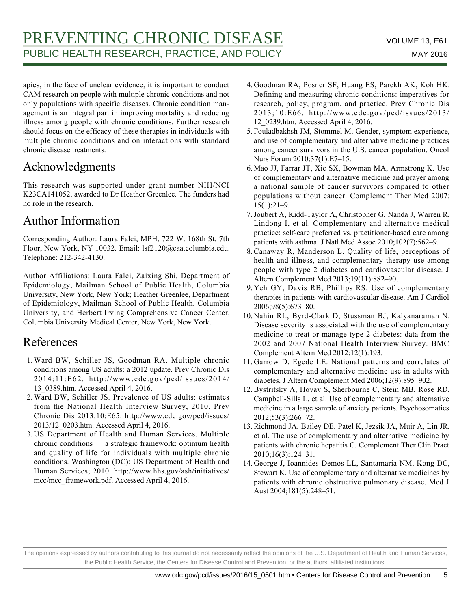apies, in the face of unclear evidence, it is important to conduct CAM research on people with multiple chronic conditions and not only populations with specific diseases. Chronic condition management is an integral part in improving mortality and reducing illness among people with chronic conditions. Further research should focus on the efficacy of these therapies in individuals with multiple chronic conditions and on interactions with standard chronic disease treatments.

# Acknowledgments

This research was supported under grant number NIH/NCI K23CA141052, awarded to Dr Heather Greenlee. The funders had no role in the research.

# Author Information

Corresponding Author: Laura Falci, MPH, 722 W. 168th St, 7th Floor, New York, NY 10032. Email: lsf2120@caa.columbia.edu. Telephone: 212-342-4130.

Author Affiliations: Laura Falci, Zaixing Shi, Department of Epidemiology, Mailman School of Public Health, Columbia University, New York, New York; Heather Greenlee, Department of Epidemiology, Mailman School of Public Health, Columbia University, and Herbert Irving Comprehensive Cancer Center, Columbia University Medical Center, New York, New York.

# References

- 1. Ward BW, Schiller JS, Goodman RA. Multiple chronic conditions among US adults: a 2012 update. Prev Chronic Dis 2014;11:E62. http://www.cdc.gov/pcd/issues/2014/ 13\_0389.htm. Accessed April 4, 2016.
- 2. Ward BW, Schiller JS. Prevalence of US adults: estimates from the National Health Interview Survey, 2010. Prev Chronic Dis 2013;10:E65. http://www.cdc.gov/pcd/issues/ 2013/12\_0203.htm. Accessed April 4, 2016.
- 3. US Department of Health and Human Services. Multiple chronic conditions — a strategic framework: optimum health and quality of life for individuals with multiple chronic conditions. Washington (DC): US Department of Health and Human Services; 2010. http://www.hhs.gov/ash/initiatives/ mcc/mcc\_framework.pdf. Accessed April 4, 2016.
- 4. Goodman RA, Posner SF, Huang ES, Parekh AK, Koh HK. Defining and measuring chronic conditions: imperatives for research, policy, program, and practice. Prev Chronic Dis 2013;10:E66. http://www.cdc.gov/pcd/issues/2013/ 12\_0239.htm. Accessed April 4, 2016.
- 5. Fouladbakhsh JM, Stommel M. Gender, symptom experience, and use of complementary and alternative medicine practices among cancer survivors in the U.S. cancer population. Oncol Nurs Forum 2010;37(1):E7–15.
- 6. Mao JJ, Farrar JT, Xie SX, Bowman MA, Armstrong K. Use of complementary and alternative medicine and prayer among a national sample of cancer survivors compared to other populations without cancer. Complement Ther Med 2007; 15(1):21–9.
- 7. Joubert A, Kidd-Taylor A, Christopher G, Nanda J, Warren R, Lindong I, et al. Complementary and alternative medical practice: self-care preferred vs. practitioner-based care among patients with asthma. J Natl Med Assoc 2010;102(7):562–9.
- 8. Canaway R, Manderson L. Quality of life, perceptions of health and illness, and complementary therapy use among people with type 2 diabetes and cardiovascular disease. J Altern Complement Med 2013;19(11):882–90.
- 9. Yeh GY, Davis RB, Phillips RS. Use of complementary therapies in patients with cardiovascular disease. Am J Cardiol 2006;98(5):673–80.
- 10. Nahin RL, Byrd-Clark D, Stussman BJ, Kalyanaraman N. Disease severity is associated with the use of complementary medicine to treat or manage type-2 diabetes: data from the 2002 and 2007 National Health Interview Survey. BMC Complement Altern Med 2012;12(1):193.
- 11. Garrow D, Egede LE. National patterns and correlates of complementary and alternative medicine use in adults with diabetes. J Altern Complement Med 2006;12(9):895–902.
- 12. Bystritsky A, Hovav S, Sherbourne C, Stein MB, Rose RD, Campbell-Sills L, et al. Use of complementary and alternative medicine in a large sample of anxiety patients. Psychosomatics 2012;53(3):266–72.
- 13. Richmond JA, Bailey DE, Patel K, Jezsik JA, Muir A, Lin JR, et al. The use of complementary and alternative medicine by patients with chronic hepatitis C. Complement Ther Clin Pract 2010;16(3):124–31.
- 14. George J, Ioannides-Demos LL, Santamaria NM, Kong DC, Stewart K. Use of complementary and alternative medicines by patients with chronic obstructive pulmonary disease. Med J Aust 2004;181(5):248–51.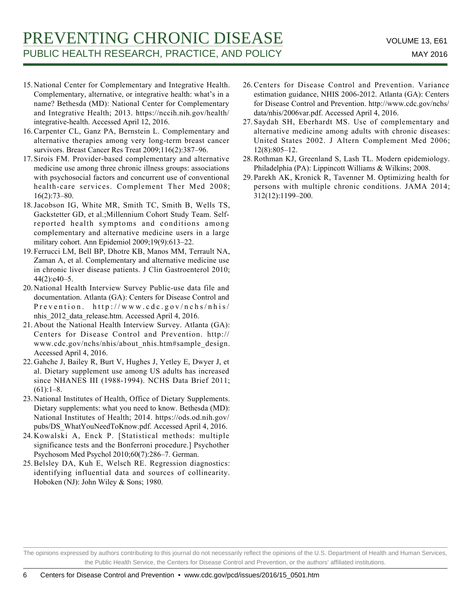- 15. National Center for Complementary and Integrative Health. Complementary, alternative, or integrative health: what's in a name? Bethesda (MD): National Center for Complementary and Integrative Health; 2013. https://nccih.nih.gov/health/ integrative-health. Accessed April 12, 2016.
- 16. Carpenter CL, Ganz PA, Bernstein L. Complementary and alternative therapies among very long-term breast cancer survivors. Breast Cancer Res Treat 2009;116(2):387–96.
- 17. Sirois FM. Provider-based complementary and alternative medicine use among three chronic illness groups: associations with psychosocial factors and concurrent use of conventional health-care services. Complement Ther Med 2008; 16(2):73–80.
- 18. Jacobson IG, White MR, Smith TC, Smith B, Wells TS, Gackstetter GD, et al.;Millennium Cohort Study Team. Selfreported health symptoms and conditions among complementary and alternative medicine users in a large military cohort. Ann Epidemiol 2009;19(9):613–22.
- Ferrucci LM, Bell BP, Dhotre KB, Manos MM, Terrault NA, 19. Zaman A, et al. Complementary and alternative medicine use in chronic liver disease patients. J Clin Gastroenterol 2010;  $44(2):e40-5.$
- 20. National Health Interview Survey Public-use data file and documentation. Atlanta (GA): Centers for Disease Control and Prevention. http://www.cdc.gov/nchs/nhis/ nhis\_2012\_data\_release.htm. Accessed April 4, 2016.
- 21. About the National Health Interview Survey. Atlanta (GA): Centers for Disease Control and Prevention. http:// www.cdc.gov/nchs/nhis/about\_nhis.htm#sample\_design. Accessed April 4, 2016.
- 22. Gahche J, Bailey R, Burt V, Hughes J, Yetley E, Dwyer J, et al. Dietary supplement use among US adults has increased since NHANES III (1988-1994). NCHS Data Brief 2011;  $(61):1-8.$
- 23. National Institutes of Health, Office of Dietary Supplements. Dietary supplements: what you need to know. Bethesda (MD): National Institutes of Health; 2014. https://ods.od.nih.gov/ pubs/DS\_WhatYouNeedToKnow.pdf. Accessed April 4, 2016.
- Kowalski A, Enck P. [Statistical methods: multiple 24. significance tests and the Bonferroni procedure.] Psychother Psychosom Med Psychol 2010;60(7):286–7. German.
- 25. Belsley DA, Kuh E, Welsch RE. Regression diagnostics: identifying influential data and sources of collinearity. Hoboken (NJ): John Wiley & Sons; 1980.
- 26. Centers for Disease Control and Prevention. Variance estimation guidance, NHIS 2006-2012. Atlanta (GA): Centers for Disease Control and Prevention. http://www.cdc.gov/nchs/ data/nhis/2006var.pdf. Accessed April 4, 2016.
- 27. Saydah SH, Eberhardt MS. Use of complementary and alternative medicine among adults with chronic diseases: United States 2002. J Altern Complement Med 2006; 12(8):805–12.
- 28. Rothman KJ, Greenland S, Lash TL. Modern epidemiology. Philadelphia (PA): Lippincott Williams & Wilkins; 2008.
- 29. Parekh AK, Kronick R, Tavenner M. Optimizing health for persons with multiple chronic conditions. JAMA 2014; 312(12):1199–200.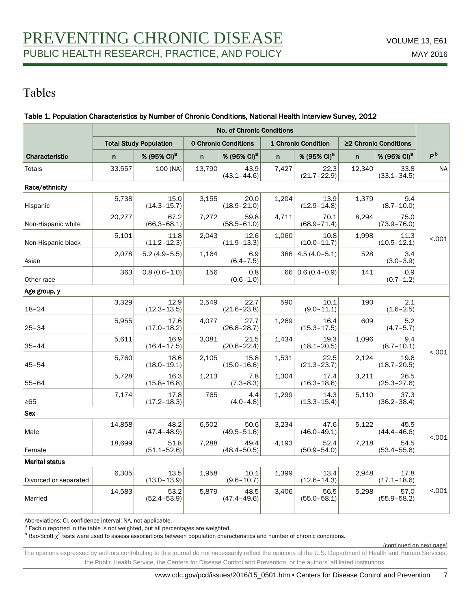# Tables

### Table 1. Population Characteristics by Number of Chronic Conditions, National Health Interview Survey, 2012

|                       | <b>No. of Chronic Conditions</b>                                                    |                         |        |                         |                       |                         |              |                         |                |  |
|-----------------------|-------------------------------------------------------------------------------------|-------------------------|--------|-------------------------|-----------------------|-------------------------|--------------|-------------------------|----------------|--|
|                       | <b>Total Study Population</b><br><b>0 Chronic Conditions</b><br>1 Chronic Condition |                         |        |                         | ≥2 Chronic Conditions |                         |              |                         |                |  |
| Characteristic        | n                                                                                   | % (95% CI) <sup>a</sup> | n      | % (95% CI) <sup>a</sup> | $\mathsf{n}$          | % (95% CI) <sup>a</sup> | $\mathsf{n}$ | % (95% CI) <sup>a</sup> | P <sub>b</sub> |  |
| Totals                | 33,557                                                                              | 100 (NA)                | 13,790 | 43.9<br>$(43.1 - 44.6)$ | 7,427                 | 22.3<br>$(21.7 - 22.9)$ | 12,340       | 33.8<br>$(33.1 - 34.5)$ | <b>NA</b>      |  |
| Race/ethnicity        |                                                                                     |                         |        |                         |                       |                         |              |                         |                |  |
| Hispanic              | 5,738                                                                               | 15.0<br>$(14.3 - 15.7)$ | 3,155  | 20.0<br>$(18.9 - 21.0)$ | 1,204                 | 13.9<br>$(12.9 - 14.8)$ | 1,379        | 9.4<br>$(8.7 - 10.0)$   |                |  |
| Non-Hispanic white    | 20,277                                                                              | 67.2<br>$(66.3 - 68.1)$ | 7,272  | 59.8<br>$(58.5 - 61.0)$ | 4,711                 | 70.1<br>$(68.9 - 71.4)$ | 8.294        | 75.0<br>$(73.9 - 76.0)$ |                |  |
| Non-Hispanic black    | 5,101                                                                               | 11.8<br>$(11.2 - 12.3)$ | 2,043  | 12.6<br>$(11.9 - 13.3)$ | 1.060                 | 10.8<br>$(10.0 - 11.7)$ | 1.998        | 11.3<br>$(10.5 - 12.1)$ | < .001         |  |
| Asian                 | 2,078                                                                               | $5.2(4.9-5.5)$          | 1,164  | 6.9<br>$(6.4 - 7.5)$    | 386                   | $4.5(4.0-5.1)$          | 528          | 3.4<br>$(3.0 - 3.9)$    |                |  |
| Other race            | 363                                                                                 | $0.8(0.6 - 1.0)$        | 156    | 0.8<br>$(0.6 - 1.0)$    | 66                    | $0.6(0.4-0.9)$          | 141          | 0.9<br>$(0.7 - 1.2)$    |                |  |
| Age group, y          |                                                                                     |                         |        |                         |                       |                         |              |                         |                |  |
| $18 - 24$             | 3,329                                                                               | 12.9<br>$(12.3 - 13.5)$ | 2,549  | 22.7<br>$(21.6 - 23.8)$ | 590                   | 10.1<br>$(9.0 - 11.1)$  | 190          | 2.1<br>$(1.6 - 2.5)$    |                |  |
| $25 - 34$             | 5,955                                                                               | 17.6<br>$(17.0 - 18.2)$ | 4,077  | 27.7<br>$(26.8 - 28.7)$ | 1,269                 | 16.4<br>$(15.3 - 17.5)$ | 609          | 5.2<br>$(4.7 - 5.7)$    |                |  |
| $35 - 44$             | 5,611                                                                               | 16.9<br>$(16.4 - 17.5)$ | 3,081  | 21.5<br>$(20.6 - 22.4)$ | 1,434                 | 19.3<br>$(18.1 - 20.5)$ | 1,096        | 9.4<br>$(8.7 - 10.1)$   | < .001         |  |
| $45 - 54$             | 5.760                                                                               | 18.6<br>$(18.0 - 19.1)$ | 2,105  | 15.8<br>$(15.0 - 16.6)$ | 1.531                 | 22.5<br>$(21.3 - 23.7)$ | 2.124        | 19.6<br>$(18.7 - 20.5)$ |                |  |
| $55 - 64$             | 5,728                                                                               | 16.3<br>$(15.8 - 16.8)$ | 1,213  | 7.8<br>$(7.3 - 8.3)$    | 1,304                 | 17.4<br>$(16.3 - 18.6)$ | 3,211        | 26.5<br>$(25.3 - 27.6)$ |                |  |
| $\geq 65$             | 7,174                                                                               | 17.8<br>$(17.2 - 18.3)$ | 765    | 4.4<br>$(4.0 - 4.8)$    | 1,299                 | 14.3<br>$(13.3 - 15.4)$ | 5,110        | 37.3<br>$(36.2 - 38.4)$ |                |  |
| <b>Sex</b>            |                                                                                     |                         |        |                         |                       |                         |              |                         |                |  |
| Male                  | 14,858                                                                              | 48.2<br>$(47.4 - 48.9)$ | 6,502  | 50.6<br>$(49.5 - 51.6)$ | 3,234                 | 47.6<br>$(46.0 - 49.1)$ | 5,122        | 45.5<br>$(44.4 - 46.6)$ |                |  |
| Female                | 18,699                                                                              | 51.8<br>$(51.1 - 52.6)$ | 7,288  | 49.4<br>$(48.4 - 50.5)$ | 4,193                 | 52.4<br>$(50.9 - 54.0)$ | 7,218        | 54.5<br>$(53.4 - 55.6)$ | < .001         |  |
| <b>Marital status</b> |                                                                                     |                         |        |                         |                       |                         |              |                         |                |  |
| Divorced or separated | 6,305                                                                               | 13.5<br>$(13.0 - 13.9)$ | 1,958  | 10.1<br>$(9.6 - 10.7)$  | 1,399                 | 13.4<br>$(12.6 - 14.3)$ | 2,948        | 17.8<br>$(17.1 - 18.6)$ |                |  |
| Married               | 14,583                                                                              | 53.2<br>$(52.4 - 53.9)$ | 5,879  | 48.5<br>$(47.4 - 49.6)$ | 3.406                 | 56.5<br>$(55.0 - 58.1)$ | 5.298        | 57.0<br>$(55.9 - 58.2)$ | < .001         |  |
|                       |                                                                                     |                         |        |                         |                       |                         |              |                         |                |  |

Abbreviations: CI, confidence interval; NA, not applicable.

<sup>a</sup> Each n reported in the table is not weighted, but all percentages are weighted.

 $^{\rm b}$  Rao-Scott  $\chi^2$  tests were used to assess associations between population characteristics and number of chronic conditions.

(continued on next page)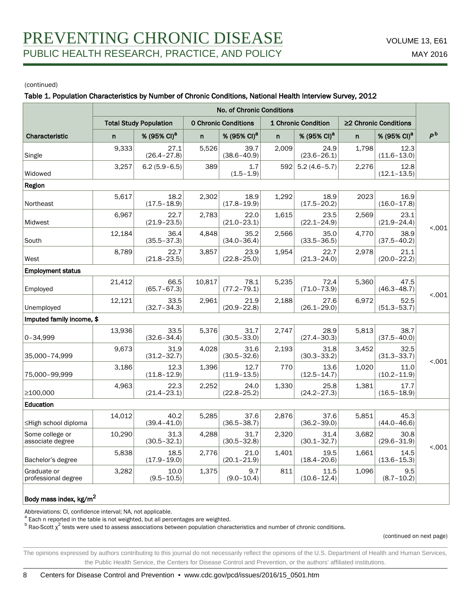#### Table 1. Population Characteristics by Number of Chronic Conditions, National Health Interview Survey, 2012

|                                     | <b>No. of Chronic Conditions</b> |                               |              |                             |              |                         |                       |                         |                |  |  |
|-------------------------------------|----------------------------------|-------------------------------|--------------|-----------------------------|--------------|-------------------------|-----------------------|-------------------------|----------------|--|--|
|                                     |                                  | <b>Total Study Population</b> |              | <b>O Chronic Conditions</b> |              | 1 Chronic Condition     | ≥2 Chronic Conditions |                         |                |  |  |
| Characteristic                      | n                                | % (95% CI) <sup>a</sup>       | $\mathsf{n}$ | % (95% CI) <sup>a</sup>     | $\mathsf{n}$ | % (95% CI) <sup>a</sup> | $\mathsf{n}$          | % (95% CI) <sup>a</sup> | P <sup>b</sup> |  |  |
| Single                              | 9,333                            | 27.1<br>$(26.4 - 27.8)$       | 5,526        | 39.7<br>$(38.6 - 40.9)$     | 2,009        | 24.9<br>$(23.6 - 26.1)$ | 1,798                 | 12.3<br>$(11.6 - 13.0)$ |                |  |  |
| Widowed                             | 3,257                            | $6.2(5.9-6.5)$                | 389          | 1.7<br>$(1.5 - 1.9)$        | 592          | $5.2(4.6-5.7)$          | 2.276                 | 12.8<br>$(12.1 - 13.5)$ |                |  |  |
| Region                              |                                  |                               |              |                             |              |                         |                       |                         |                |  |  |
| Northeast                           | 5,617                            | 18.2<br>$(17.5 - 18.9)$       | 2,302        | 18.9<br>$(17.8 - 19.9)$     | 1,292        | 18.9<br>$(17.5 - 20.2)$ | 2023                  | 16.9<br>$(16.0 - 17.8)$ |                |  |  |
| Midwest                             | 6,967                            | 22.7<br>$(21.9 - 23.5)$       | 2.783        | 22.0<br>$(21.0 - 23.1)$     | 1.615        | 23.5<br>$(22.1 - 24.9)$ | 2.569                 | 23.1<br>$(21.9 - 24.4)$ | < .001         |  |  |
| South                               | 12,184                           | 36.4<br>$(35.5 - 37.3)$       | 4,848        | 35.2<br>$(34.0 - 36.4)$     | 2,566        | 35.0<br>$(33.5 - 36.5)$ | 4.770                 | 38.9<br>$(37.5 - 40.2)$ |                |  |  |
| West                                | 8,789                            | 22.7<br>$(21.8 - 23.5)$       | 3,857        | 23.9<br>$(22.8 - 25.0)$     | 1,954        | 22.7<br>$(21.3 - 24.0)$ | 2,978                 | 21.1<br>$(20.0 - 22.2)$ |                |  |  |
| <b>Employment status</b>            |                                  |                               |              |                             |              |                         |                       |                         |                |  |  |
| Employed                            | 21,412                           | 66.5<br>$(65.7 - 67.3)$       | 10.817       | 78.1<br>$(77.2 - 79.1)$     | 5,235        | 72.4<br>$(71.0 - 73.9)$ | 5,360                 | 47.5<br>$(46.3 - 48.7)$ |                |  |  |
| Unemployed                          | 12,121                           | 33.5<br>$(32.7 - 34.3)$       | 2,961        | 21.9<br>$(20.9 - 22.8)$     | 2,188        | 27.6<br>$(26.1 - 29.0)$ | 6,972                 | 52.5<br>$(51.3 - 53.7)$ | < 0.01         |  |  |
| Imputed family income, \$           |                                  |                               |              |                             |              |                         |                       |                         |                |  |  |
| 0-34,999                            | 13,936                           | 33.5<br>$(32.6 - 34.4)$       | 5,376        | 31.7<br>$(30.5 - 33.0)$     | 2,747        | 28.9<br>$(27.4 - 30.3)$ | 5,813                 | 38.7<br>$(37.5 - 40.0)$ |                |  |  |
| 35,000-74,999                       | 9,673                            | 31.9<br>$(31.2 - 32.7)$       | 4,028        | 31.6<br>$(30.5 - 32.6)$     | 2,193        | 31.8<br>$(30.3 - 33.2)$ | 3,452                 | 32.5<br>$(31.3 - 33.7)$ | < 0.01         |  |  |
| 75,000-99,999                       | 3,186                            | 12.3<br>$(11.8 - 12.9)$       | 1,396        | 12.7<br>$(11.9 - 13.5)$     | 770          | 13.6<br>$(12.5 - 14.7)$ | 1,020                 | 11.0<br>$(10.2 - 11.9)$ |                |  |  |
| ≥100,000                            | 4,963                            | 22.3<br>$(21.4 - 23.1)$       | 2,252        | 24.0<br>$(22.8 - 25.2)$     | 1,330        | 25.8<br>$(24.2 - 27.3)$ | 1,381                 | 17.7<br>$(16.5 - 18.9)$ |                |  |  |
| Education                           |                                  |                               |              |                             |              |                         |                       |                         |                |  |  |
| ≤High school diploma                | 14,012                           | 40.2<br>$(39.4 - 41.0)$       | 5,285        | 37.6<br>$(36.5 - 38.7)$     | 2,876        | 37.6<br>$(36.2 - 39.0)$ | 5.851                 | 45.3<br>$(44.0 - 46.6)$ |                |  |  |
| Some college or<br>associate degree | 10,290                           | 31.3<br>$(30.5 - 32.1)$       | 4,288        | 31.7<br>$(30.5 - 32.8)$     | 2,320        | 31.4<br>$(30.1 - 32.7)$ | 3.682                 | 30.8<br>$(29.6 - 31.9)$ | < .001         |  |  |
| Bachelor's degree                   | 5,838                            | 18.5<br>$(17.9 - 19.0)$       | 2,776        | 21.0<br>$(20.1 - 21.9)$     | 1.401        | 19.5<br>$(18.4 - 20.6)$ | 1.661                 | 14.5<br>$(13.6 - 15.3)$ |                |  |  |
| Graduate or<br>professional degree  | 3,282                            | 10.0<br>$(9.5 - 10.5)$        | 1,375        | 9.7<br>$(9.0 - 10.4)$       | 811          | 11.5<br>$(10.6 - 12.4)$ | 1,096                 | 9.5<br>$(8.7 - 10.2)$   |                |  |  |

### Body mass index, kg/m<sup>2</sup>

Abbreviations: CI, confidence interval; NA, not applicable.

<sup>a</sup> Each n reported in the table is not weighted, but all percentages are weighted.

 $^{\rm b}$  Rao-Scott  $\chi^2$  tests were used to assess associations between population characteristics and number of chronic conditions.

(continued on next page)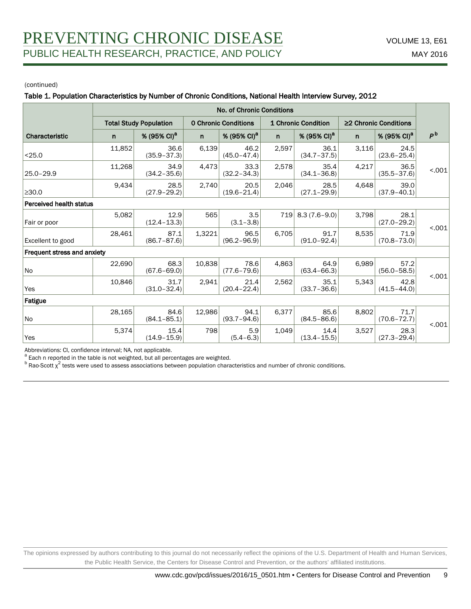#### Table 1. Population Characteristics by Number of Chronic Conditions, National Health Interview Survey, 2012

|                               | No. of Chronic Conditions |                         |        |                             |              |                         |              |                             |                |  |
|-------------------------------|---------------------------|-------------------------|--------|-----------------------------|--------------|-------------------------|--------------|-----------------------------|----------------|--|
| <b>Total Study Population</b> |                           |                         |        | <b>O Chronic Conditions</b> |              | 1 Chronic Condition     |              | $\geq$ 2 Chronic Conditions |                |  |
| Characteristic                | n                         | % (95% CI) <sup>a</sup> | n      | % (95% CI) <sup>a</sup>     | $\mathsf{n}$ | % (95% CI) <sup>a</sup> | $\mathsf{n}$ | % (95% CI) <sup>a</sup>     | P <sup>b</sup> |  |
| < 25.0                        | 11,852                    | 36.6<br>$(35.9 - 37.3)$ | 6,139  | 46.2<br>$(45.0 - 47.4)$     | 2,597        | 36.1<br>$(34.7 - 37.5)$ | 3,116        | 24.5<br>$(23.6 - 25.4)$     |                |  |
| $25.0 - 29.9$                 | 11,268                    | 34.9<br>$(34.2 - 35.6)$ | 4,473  | 33.3<br>$(32.2 - 34.3)$     | 2,578        | 35.4<br>$(34.1 - 36.8)$ | 4,217        | 36.5<br>$(35.5 - 37.6)$     | < 0.001        |  |
| $\geq$ 30.0                   | 9,434                     | 28.5<br>$(27.9 - 29.2)$ | 2,740  | 20.5<br>$(19.6 - 21.4)$     | 2,046        | 28.5<br>$(27.1 - 29.9)$ | 4,648        | 39.0<br>$(37.9 - 40.1)$     |                |  |
| Perceived health status       |                           |                         |        |                             |              |                         |              |                             |                |  |
| Fair or poor                  | 5,082                     | 12.9<br>$(12.4 - 13.3)$ | 565    | 3.5<br>$(3.1 - 3.8)$        | 719          | $8.3(7.6-9.0)$          | 3,798        | 28.1<br>$(27.0 - 29.2)$     |                |  |
| Excellent to good             | 28,461                    | 87.1<br>$(86.7 - 87.6)$ | 1,3221 | 96.5<br>$(96.2 - 96.9)$     | 6,705        | 91.7<br>$(91.0 - 92.4)$ | 8,535        | 71.9<br>$(70.8 - 73.0)$     | < 0.001        |  |
| Frequent stress and anxiety   |                           |                         |        |                             |              |                         |              |                             |                |  |
| No                            | 22,690                    | 68.3<br>$(67.6 - 69.0)$ | 10,838 | 78.6<br>$(77.6 - 79.6)$     | 4,863        | 64.9<br>$(63.4 - 66.3)$ | 6,989        | 57.2<br>$(56.0 - 58.5)$     |                |  |
| Yes                           | 10,846                    | 31.7<br>$(31.0 - 32.4)$ | 2,941  | 21.4<br>$(20.4 - 22.4)$     | 2,562        | 35.1<br>$(33.7 - 36.6)$ | 5,343        | 42.8<br>$(41.5 - 44.0)$     | < 0.001        |  |
| Fatigue                       |                           |                         |        |                             |              |                         |              |                             |                |  |
| No                            | 28,165                    | 84.6<br>$(84.1 - 85.1)$ | 12,986 | 94.1<br>$(93.7 - 94.6)$     | 6,377        | 85.6<br>$(84.5 - 86.6)$ | 8,802        | 71.7<br>$(70.6 - 72.7)$     |                |  |
| Yes                           | 5,374                     | 15.4<br>$(14.9 - 15.9)$ | 798    | 5.9<br>$(5.4 - 6.3)$        | 1.049        | 14.4<br>$(13.4 - 15.5)$ | 3,527        | 28.3<br>$(27.3 - 29.4)$     | < 0.01         |  |

Abbreviations: CI, confidence interval; NA, not applicable.

<sup>a</sup> Each n reported in the table is not weighted, but all percentages are weighted.

 $^{\rm b}$  Rao-Scott  $\chi^2$  tests were used to assess associations between population characteristics and number of chronic conditions.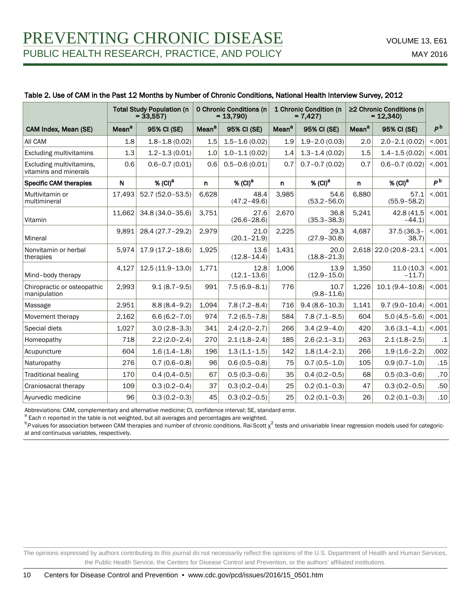### Table 2. Use of CAM in the Past 12 Months by Number of Chronic Conditions, National Health Interview Survey, 2012

|                                                   | <b>Total Study Population (n</b><br>$= 33,557$ |                       |                   | <b>O Chronic Conditions (n</b><br>$= 13,790$ |                   | 1 Chronic Condition (n<br>$= 7,427$ | ≥2 Chronic Conditions (n<br>$= 12,340$ |                         |                |
|---------------------------------------------------|------------------------------------------------|-----------------------|-------------------|----------------------------------------------|-------------------|-------------------------------------|----------------------------------------|-------------------------|----------------|
| CAM Index, Mean (SE)                              | Mean <sup>a</sup>                              | 95% CI (SE)           | Mean <sup>a</sup> | 95% CI (SE)                                  | Mean <sup>a</sup> | 95% CI (SE)                         | Mean <sup>a</sup>                      | 95% CI (SE)             | P <sup>b</sup> |
| All CAM                                           | 1.8                                            | $1.8 - 1.8(0.02)$     | 1.5               | $1.5 - 1.6(0.02)$                            | 1.9               | $1.9 - 2.0(0.03)$                   | 2.0                                    | $2.0 - 2.1(0.02)$       | < .001         |
| <b>Excluding multivitamins</b>                    | 1.3                                            | $1.2 - 1.3(0.01)$     | 1.0               | $1.0 - 1.1(0.02)$                            | 1.4               | $1.3 - 1.4(0.02)$                   | 1.5                                    | $1.4 - 1.5(0.02)$       | < .001         |
| Excluding multivitamins,<br>vitamins and minerals | 0.6                                            | $0.6 - 0.7(0.01)$     | 0.6               | $0.5 - 0.6(0.01)$                            | 0.7               | $0.7 - 0.7(0.02)$                   | 0.7                                    | $0.6 - 0.7(0.02)$       | < 001          |
| <b>Specific CAM therapies</b>                     | $\mathsf{N}$                                   | $%$ (CI) <sup>a</sup> | $\mathsf{n}$      | $%$ (CI) <sup>a</sup>                        | $\mathsf{n}$      | % (CI) <sup>a</sup>                 | n.                                     | % (CI) <sup>a</sup>     | P <sub>b</sub> |
| Multivitamin or<br>multimineral                   | 17,493                                         | 52.7 (52.0-53.5)      | 6,628             | 48.4<br>$(47.2 - 49.6)$                      | 3,985             | 54.6<br>$(53.2 - 56.0)$             | 6,880                                  | 57.1<br>$(55.9 - 58.2)$ | < 001          |
| Vitamin                                           | 11,662                                         | 34.8 (34.0-35.6)      | 3,751             | 27.6<br>$(26.6 - 28.6)$                      | 2,670             | 36.8<br>$(35.3 - 38.3)$             | 5,241                                  | 42.8 (41.5<br>$-44.1$   | < 001          |
| Mineral                                           | 9,891                                          | 28.4 (27.7-29.2)      | 2,979             | 21.0<br>$(20.1 - 21.9)$                      | 2,225             | 29.3<br>$(27.9 - 30.8)$             | 4,687                                  | 37.5 (36.3-<br>38.7     | < 001          |
| Nonvitamin or herbal<br>therapies                 | 5,974                                          | $17.9(17.2 - 18.6)$   | 1,925             | 13.6<br>$(12.8 - 14.4)$                      | 1,431             | 20.0<br>$(18.8 - 21.3)$             |                                        | 2,618 22.0 (20.8-23.1   | < .001         |
| Mind-body therapy                                 | 4,127                                          | $12.5(11.9-13.0)$     | 1,771             | 12.8<br>$(12.1 - 13.6)$                      | 1,006             | 13.9<br>$(12.9 - 15.0)$             | 1.350                                  | 11.0(10.3)<br>$-11.7$   | < 0.01         |
| Chiropractic or osteopathic<br>manipulation       | 2,993                                          | $9.1(8.7-9.5)$        | 991               | $7.5(6.9 - 8.1)$                             | 776               | 10.7<br>$(9.8 - 11.6)$              | 1,226                                  | $10.1(9.4 - 10.8)$      | < .001         |
| Massage                                           | 2,951                                          | $8.8(8.4 - 9.2)$      | 1,094             | $7.8(7.2 - 8.4)$                             | 716               | $9.4(8.6 - 10.3)$                   | 1,141                                  | $9.7(9.0 - 10.4)$       | < 001          |
| Movement therapy                                  | 2,162                                          | $6.6(6.2 - 7.0)$      | 974               | $7.2(6.5 - 7.8)$                             | 584               | $7.8(7.1 - 8.5)$                    | 604                                    | $5.0(4.5-5.6)$          | < .001         |
| Special diets                                     | 1,027                                          | $3.0(2.8-3.3)$        | 341               | $2.4(2.0-2.7)$                               | 266               | $3.4(2.9 - 4.0)$                    | 420                                    | $3.6(3.1 - 4.1)$        | < .001         |
| Homeopathy                                        | 718                                            | $2.2(2.0-2.4)$        | 270               | $2.1(1.8-2.4)$                               | 185               | $2.6(2.1 - 3.1)$                    | 263                                    | $2.1(1.8-2.5)$          | $.1\,$         |
| Acupuncture                                       | 604                                            | $1.6(1.4 - 1.8)$      | 196               | $1.3(1.1 - 1.5)$                             | 142               | $1.8(1.4 - 2.1)$                    | 266                                    | $1.9(1.6-2.2)$          | .002           |
| Naturopathy                                       | 276                                            | $0.7(0.6 - 0.8)$      | 96                | $0.6(0.5 - 0.8)$                             | 75                | $0.7(0.5 - 1.0)$                    | 105                                    | $0.9(0.7 - 1.0)$        | .15            |
| <b>Traditional healing</b>                        | 170                                            | $0.4(0.4-0.5)$        | 67                | $0.5(0.3 - 0.6)$                             | 35                | $0.4(0.2 - 0.5)$                    | 68                                     | $0.5(0.3 - 0.6)$        | .70            |
| Craniosacral therapy                              | 109                                            | $0.3(0.2 - 0.4)$      | 37                | $0.3(0.2 - 0.4)$                             | 25                | $0.2(0.1 - 0.3)$                    | 47                                     | $0.3(0.2 - 0.5)$        | .50            |
| Ayurvedic medicine                                | 96                                             | $0.3(0.2 - 0.3)$      | 45                | $0.3(0.2 - 0.5)$                             | 25                | $0.2(0.1 - 0.3)$                    | 26                                     | $0.2(0.1 - 0.3)$        | .10            |

Abbreviations: CAM, complementary and alternative medicine; CI, confidence interval; SE, standard error.

<sup>a</sup> Each n reported in the table is not weighted, but all averages and percentages are weighted.

 $^{\rm b}$ P values for association between CAM therapies and number of chronic conditions. Rai-Scott  $\chi^2$  tests and univariable linear regression models used for categorical and continuous variables, respectively.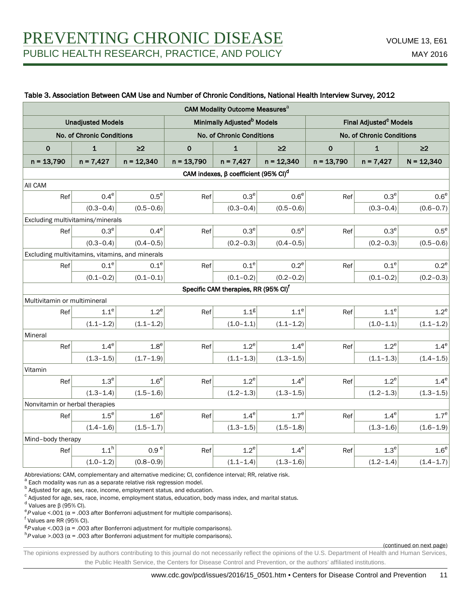#### Table 3. Association Between CAM Use and Number of Chronic Conditions, National Health Interview Survey, 2012

|                                                 |                                  |                  |              | CAM Modality Outcome Measures <sup>a</sup>             |                  |                                                                        |                  |                  |  |
|-------------------------------------------------|----------------------------------|------------------|--------------|--------------------------------------------------------|------------------|------------------------------------------------------------------------|------------------|------------------|--|
| <b>Unadjusted Models</b>                        |                                  |                  |              | Minimally Adjusted <sup>b</sup> Models                 |                  | Final Adjusted <sup>c</sup> Models<br><b>No. of Chronic Conditions</b> |                  |                  |  |
|                                                 | <b>No. of Chronic Conditions</b> |                  |              | <b>No. of Chronic Conditions</b>                       |                  |                                                                        |                  |                  |  |
| $\mathbf 0$                                     | $\mathbf{1}$                     | $\geq$           | $\mathbf 0$  | $\mathbf{1}$                                           | $\geq$           | $\pmb{\mathsf{O}}$                                                     | $\mathbf{1}$     | $\geq$           |  |
| $n = 13,790$                                    | $n = 7,427$                      | $n = 12,340$     | $n = 13,790$ | $n = 7,427$                                            | $n = 12,340$     | $n = 13,790$                                                           | $n = 7,427$      | $N = 12,340$     |  |
|                                                 |                                  |                  |              | CAM indexes, $\beta$ coefficient (95% CI) <sup>d</sup> |                  |                                                                        |                  |                  |  |
| All CAM                                         |                                  |                  |              |                                                        |                  |                                                                        |                  |                  |  |
| Ref                                             | $0.4^e$                          | $0.5^e$          | Ref          | 0.3 <sup>e</sup>                                       | 0.6 <sup>e</sup> | Ref                                                                    | $0.3^{\rm e}$    | 0.6 <sup>e</sup> |  |
|                                                 | $(0.3 - 0.4)$                    | $(0.5 - 0.6)$    |              | $(0.3 - 0.4)$                                          | $(0.5 - 0.6)$    |                                                                        | $(0.3 - 0.4)$    | $(0.6 - 0.7)$    |  |
| Excluding multivitamins/minerals                |                                  |                  |              |                                                        |                  |                                                                        |                  |                  |  |
| Ref                                             | $0.3^e$                          | $0.4^\mathrm{e}$ | Ref          | 0.3 <sup>e</sup>                                       | $0.5^e$          | Ref                                                                    | 0.3 <sup>e</sup> | $0.5^e$          |  |
|                                                 | $(0.3 - 0.4)$                    | $(0.4 - 0.5)$    |              | $(0.2 - 0.3)$                                          | $(0.4 - 0.5)$    |                                                                        | $(0.2 - 0.3)$    | $(0.5 - 0.6)$    |  |
| Excluding multivitamins, vitamins, and minerals |                                  |                  |              |                                                        |                  |                                                                        |                  |                  |  |
| Ref                                             | 0.1 <sup>e</sup>                 | $0.1^e$          | Ref          | 0.1 <sup>e</sup>                                       | $0.2^e$          | Ref                                                                    | 0.1 <sup>e</sup> | $0.2^e$          |  |
|                                                 | $(0.1 - 0.2)$                    | $(0.1 - 0.1)$    |              | $(0.1 - 0.2)$                                          | $(0.2 - 0.2)$    |                                                                        | $(0.1 - 0.2)$    | $(0.2 - 0.3)$    |  |
|                                                 |                                  |                  |              | Specific CAM therapies, RR (95% CI) <sup>f</sup>       |                  |                                                                        |                  |                  |  |
| Multivitamin or multimineral                    |                                  |                  |              |                                                        |                  |                                                                        |                  |                  |  |
| Ref                                             | 1.1 <sup>e</sup>                 | $1.2^e$          | Ref          | 1.1 <sup>g</sup>                                       | $1.1^e$          | Ref                                                                    | $1.1^e$          | $1.2^e$          |  |
|                                                 | $(1.1 - 1.2)$                    | $(1.1 - 1.2)$    |              | $(1.0 - 1.1)$                                          | $(1.1 - 1.2)$    |                                                                        | $(1.0 - 1.1)$    | $(1.1 - 1.2)$    |  |
| Mineral                                         |                                  |                  |              |                                                        |                  |                                                                        |                  |                  |  |
| Ref                                             | $1.4^e$                          | $1.8^e$          | Ref          | $1.2^e$                                                | $1.4^e$          | Ref                                                                    | $1.2^e$          | $1.4^e$          |  |
|                                                 | $(1.3 - 1.5)$                    | $(1.7 - 1.9)$    |              | $(1.1 - 1.3)$                                          | $(1.3 - 1.5)$    |                                                                        | $(1.1 - 1.3)$    | $(1.4 - 1.5)$    |  |
| Vitamin                                         |                                  |                  |              |                                                        |                  |                                                                        |                  |                  |  |
| Ref                                             | 1.3 <sup>e</sup>                 | 1.6 <sup>e</sup> | Ref          | $1.2^e$                                                | $1.4^e$          | Ref                                                                    | $1.2^e$          | $1.4^\mathrm{e}$ |  |
|                                                 | $(1.3 - 1.4)$                    | $(1.5 - 1.6)$    |              | $(1.2 - 1.3)$                                          | $(1.3 - 1.5)$    |                                                                        | $(1.2 - 1.3)$    | $(1.3 - 1.5)$    |  |
| Nonvitamin or herbal therapies                  |                                  |                  |              |                                                        |                  |                                                                        |                  |                  |  |
| Ref                                             | $1.5^e$                          | $1.6^e$          | Ref          | $1.4^{\rm e}$                                          | $1.7^e$          | Ref                                                                    | $1.4^e$          | 1.7 <sup>e</sup> |  |
|                                                 | $(1.4 - 1.6)$                    | $(1.5 - 1.7)$    |              | $(1.3 - 1.5)$                                          | $(1.5 - 1.8)$    |                                                                        | $(1.3 - 1.6)$    | $(1.6 - 1.9)$    |  |
| Mind-body therapy                               |                                  |                  |              |                                                        |                  |                                                                        |                  |                  |  |
| Ref                                             | $1.1^h$                          | 0.9e             | Ref          | $1.2^e$                                                | $1.4^e$          | Ref                                                                    | 1.3 <sup>e</sup> | $1.6^e$          |  |
|                                                 | $(1.0 - 1.2)$                    | $(0.8 - 0.9)$    |              | $(1.1 - 1.4)$                                          | $(1.3 - 1.6)$    |                                                                        | $(1.2 - 1.4)$    | $(1.4 - 1.7)$    |  |

Abbreviations: CAM, complementary and alternative medicine; CI, confidence interval; RR, relative risk.

a<br>Each modality was run as a separate relative risk regression model.

**b** Adjusted for age, sex, race, income, employment status, and education.

c Adjusted for age, sex, race, income, employment status, education, body mass index, and marital status.

<sup>d</sup> Values are β (95% CI).

<sup>e</sup>P value <.001 ( $\alpha$  = .003 after Bonferroni adjustment for multiple comparisons).

f Values are RR (95% CI).

<sup>g</sup> P value <.003 (α = .003 after Bonferroni adjustment for multiple comparisons).

<sup>h</sup>P value >.003 (α = .003 after Bonferroni adjustment for multiple comparisons).

(continued on next page)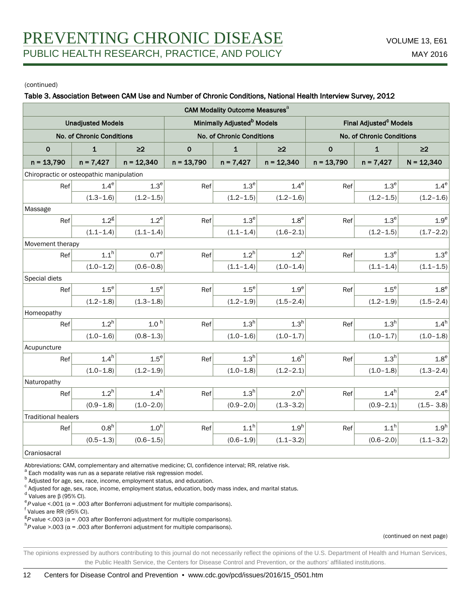#### Table 3. Association Between CAM Use and Number of Chronic Conditions, National Health Interview Survey, 2012

| CAM Modality Outcome Measures <sup>a</sup> |                                  |                  |              |                                        |                  |                                    |                  |                  |  |  |  |
|--------------------------------------------|----------------------------------|------------------|--------------|----------------------------------------|------------------|------------------------------------|------------------|------------------|--|--|--|
| <b>Unadjusted Models</b>                   |                                  |                  |              | Minimally Adjusted <sup>b</sup> Models |                  | Final Adjusted <sup>c</sup> Models |                  |                  |  |  |  |
|                                            | <b>No. of Chronic Conditions</b> |                  |              | No. of Chronic Conditions              |                  | No. of Chronic Conditions          |                  |                  |  |  |  |
| $\mathbf 0$                                | $\mathbf{1}$                     | $\geq$           | $\mathbf 0$  | $\mathbf{1}$                           | $\geq$ 2         | $\mathbf 0$                        | $\mathbf{1}$     | $\geq$ 2         |  |  |  |
| $n = 13,790$                               | $n = 7,427$                      | $n = 12,340$     | $n = 13,790$ | $n = 7,427$                            | $n = 12,340$     | $n = 13,790$                       | $n = 7,427$      | $N = 12,340$     |  |  |  |
| Chiropractic or osteopathic manipulation   |                                  |                  |              |                                        |                  |                                    |                  |                  |  |  |  |
| Ref                                        | $1.4^e$                          | 1.3 <sup>e</sup> | Ref          | 1.3 <sup>e</sup>                       | $1.4^e$          | Ref                                | 1.3 <sup>e</sup> | $1.4^e$          |  |  |  |
|                                            | $(1.3 - 1.6)$                    | $(1.2 - 1.5)$    |              | $(1.2 - 1.5)$                          | $(1.2 - 1.6)$    |                                    | $(1.2 - 1.5)$    | $(1.2 - 1.6)$    |  |  |  |
| Massage                                    |                                  |                  |              |                                        |                  |                                    |                  |                  |  |  |  |
| Ref                                        | 1.2 <sup>g</sup>                 | $1.2^e$          | Ref          | 1.3 <sup>e</sup>                       | 1.8 <sup>e</sup> | Ref                                | 1.3 <sup>e</sup> | 1.9 <sup>e</sup> |  |  |  |
|                                            | $(1.1 - 1.4)$                    | $(1.1 - 1.4)$    |              | $(1.1 - 1.4)$                          | $(1.6 - 2.1)$    |                                    | $(1.2 - 1.5)$    | $(1.7 - 2.2)$    |  |  |  |
| Movement therapy                           |                                  |                  |              |                                        |                  |                                    |                  |                  |  |  |  |
| Ref                                        | $1.1^h$                          | 0.7 <sup>e</sup> | Ref          | 1.2 <sup>h</sup>                       | 1.2 <sup>h</sup> | Ref                                | 1.3 <sup>e</sup> | 1.3 <sup>e</sup> |  |  |  |
|                                            | $(1.0 - 1.2)$                    | $(0.6 - 0.8)$    |              | $(1.1 - 1.4)$                          | $(1.0 - 1.4)$    |                                    | $(1.1 - 1.4)$    | $(1.1 - 1.5)$    |  |  |  |
| Special diets                              |                                  |                  |              |                                        |                  |                                    |                  |                  |  |  |  |
| Ref                                        | $1.5^e$                          | $1.5^e$          | Ref          | $1.5^e$                                | 1.9 <sup>e</sup> | Ref                                | $1.5^e$          | $1.8^e$          |  |  |  |
|                                            | $(1.2 - 1.8)$                    | $(1.3 - 1.8)$    |              | $(1.2 - 1.9)$                          | $(1.5 - 2.4)$    |                                    | $(1.2 - 1.9)$    | $(1.5 - 2.4)$    |  |  |  |
| Homeopathy                                 |                                  |                  |              |                                        |                  |                                    |                  |                  |  |  |  |
| Ref                                        | 1.2 <sup>h</sup>                 | 1.0 <sup>h</sup> | Ref          | 1.3 <sup>h</sup>                       | 1.3 <sup>h</sup> | Ref                                | 1.3 <sup>h</sup> | 1.4 <sup>h</sup> |  |  |  |
|                                            | $(1.0 - 1.6)$                    | $(0.8 - 1.3)$    |              | $(1.0 - 1.6)$                          | $(1.0 - 1.7)$    |                                    | $(1.0 - 1.7)$    | $(1.0 - 1.8)$    |  |  |  |
| Acupuncture                                |                                  |                  |              |                                        |                  |                                    |                  |                  |  |  |  |
| Ref                                        | 1.4 <sup>h</sup>                 | $1.5^e$          | Ref          | 1.3 <sup>h</sup>                       | 1.6 <sup>h</sup> | Ref                                | 1.3 <sup>h</sup> | $1.8^e$          |  |  |  |
|                                            | $(1.0 - 1.8)$                    | $(1.2 - 1.9)$    |              | $(1.0 - 1.8)$                          | $(1.2 - 2.1)$    |                                    | $(1.0 - 1.8)$    | $(1.3 - 2.4)$    |  |  |  |
| Naturopathy                                |                                  |                  |              |                                        |                  |                                    |                  |                  |  |  |  |
| Ref                                        | $1.2^h$                          | $1.4^h$          | Ref          | 1.3 <sup>h</sup>                       | 2.0 <sup>h</sup> | Ref                                | $1.4^h$          | $2.4^e$          |  |  |  |
|                                            | $(0.9 - 1.8)$                    | $(1.0 - 2.0)$    |              | $(0.9 - 2.0)$                          | $(1.3 - 3.2)$    |                                    | $(0.9 - 2.1)$    | $(1.5 - 3.8)$    |  |  |  |
| <b>Traditional healers</b>                 |                                  |                  |              |                                        |                  |                                    |                  |                  |  |  |  |
| Ref                                        | 0.8 <sup>h</sup>                 | 1.0 <sup>h</sup> | Ref          | $1.1^h$                                | 1.9 <sup>h</sup> | Ref                                | $1.1^h$          | 1.9 <sup>h</sup> |  |  |  |
|                                            | $(0.5 - 1.3)$                    | $(0.6 - 1.5)$    |              | $(0.6 - 1.9)$                          | $(1.1 - 3.2)$    |                                    | $(0.6 - 2.0)$    | $(1.1 - 3.2)$    |  |  |  |
| Cropionograf                               |                                  |                  |              |                                        |                  |                                    |                  |                  |  |  |  |

Craniosacral

Abbreviations: CAM, complementary and alternative medicine; CI, confidence interval; RR, relative risk.

a<br>Each modality was run as a separate relative risk regression model.

**b** Adjusted for age, sex, race, income, employment status, and education.

c Adjusted for age, sex, race, income, employment status, education, body mass index, and marital status.

<sup>d</sup> Values are β (95% CI).

<sup>e</sup>P value <.001 ( $\alpha$  = .003 after Bonferroni adjustment for multiple comparisons).

f Values are RR (95% CI).

<sup>g</sup> P value <.003 (α = .003 after Bonferroni adjustment for multiple comparisons).

<sup>h</sup>P value >.003 (α = .003 after Bonferroni adjustment for multiple comparisons).

(continued on next page)